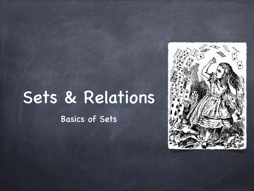## Sets & Relations

Basics of Sets

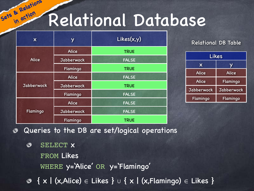## Relational Database

| $\boldsymbol{\mathsf{X}}$ | Y                 | Likes(x,y)   |  |
|---------------------------|-------------------|--------------|--|
|                           | <b>Alice</b>      | <b>TRUE</b>  |  |
| <b>Alice</b>              | <b>Jabberwock</b> | <b>FALSE</b> |  |
|                           | Flamingo          | <b>TRUE</b>  |  |
| <b>Jabberwock</b>         | <b>Alice</b>      | <b>FALSE</b> |  |
|                           | <b>Jabberwock</b> | <b>TRUE</b>  |  |
|                           | Flamingo          | <b>FALSE</b> |  |
| Flamingo                  | <b>Alice</b>      | <b>FALSE</b> |  |
|                           | <b>Jabberwock</b> | <b>FALSE</b> |  |
|                           | Flamingo          | <b>TRUE</b>  |  |

**Sets & Relations in action**

#### Relational DB Table

| Likes             |                   |  |  |  |
|-------------------|-------------------|--|--|--|
| X                 | V                 |  |  |  |
| <b>Alice</b>      | <b>Alice</b>      |  |  |  |
| <b>Alice</b>      | Flamingo          |  |  |  |
| <b>Jabberwock</b> | <b>Jabberwock</b> |  |  |  |
| Flamingo          | Flamingo          |  |  |  |

Queries to the DB are set/logical operations ◈

- SELECT x ぁ FROM Likes WHERE y='Alice' OR y='Flamingo'
- { x | (x,Alice) ∈ Likes } ∪ { x | (x,Flamingo) ∈ Likes }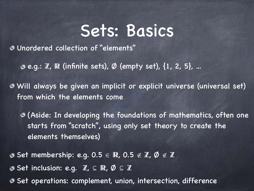### Sets: Basics

Unordered collection of "elements"

 $\odot$  e.g.:  $\mathbb{Z}$ ,  $\mathbb{R}$  (infinite sets),  $\emptyset$  (empty set), {1, 2, 5}, ...

Will always be given an implicit or explicit universe (universal set) from which the elements come

(Aside: In developing the foundations of mathematics, often one starts from "scratch", using only set theory to create the elements themselves)

**O** Set membership: e.g. 0.5 ∈ R, 0.5 ∉ Z, Ø ∉ Z **O** Set inclusion: e.g.  $\mathbb{Z}, \subseteq \mathbb{R}, \emptyset \subseteq \mathbb{Z}$ 

**Set operations: complement, union, intersection, difference**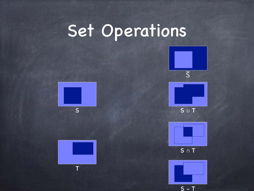# Set Operations











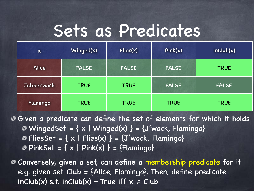### Sets as Predicates

| $\boldsymbol{\mathsf{X}}$ | Winged(x)    | Flies(x)     | Pink(x)      | inClub(x)    |
|---------------------------|--------------|--------------|--------------|--------------|
| <b>Alice</b>              | <b>FALSE</b> | <b>FALSE</b> | <b>FALSE</b> | <b>TRUE</b>  |
| Jabberwock                | <b>TRUE</b>  | <b>TRUE</b>  | <b>FALSE</b> | <b>FALSE</b> |
| Flamingo                  | <b>TRUE</b>  | <b>TRUE</b>  | <b>TRUE</b>  | <b>TRUE</b>  |

Given a predicate can define the set of elements for which it holds  $\odot$  WingedSet = { $\times$  | Winged(x) } = {J'wock, Flamingo}  $\odot$  FliesSet = { x | Flies(x) } = {J'wock, Flamingo} **O** PinkSet =  $\{ x | Pink(x) \}$  =  $\{Flamingo\}$ 

Conversely, given a set, can define a membership predicate for it e.g. given set Club = {Alice, Flamingo}. Then, define predicate  $inclub(x)$  s.t.  $inclub(x)$  = True iff  $x \in Club$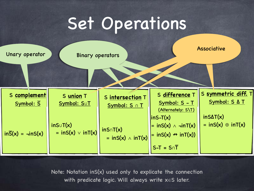## Set Operations



Note: Notation inS(x) used only to explicate the connection with predicate logic. Will always write x∈S later.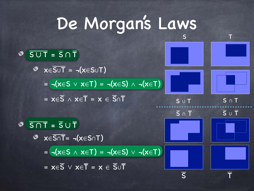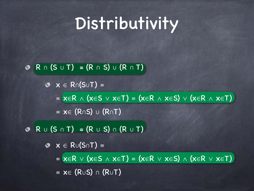## Distributivity

#### R ∩ (S ∪ T) = (R ∩ S) ∪ (R ∩ T) ◈

 $\mathcal{X} \in R \cap (S \cup T) =$  $= x \in R \wedge (x \in S \vee x \in T) = (x \in R \wedge x \in S) \vee (x \in R \wedge x \in T)$ ≡ x∈ (R∩S) ∪ (R∩T)

R ∪ (S ∩ T) = (R ∪ S) ∩ (R ∪ T)  $\circledcirc$  $\mathbf{\circ} \mathbf{x} \in \mathsf{R} \cup (\mathsf{S} \cap \mathsf{T}) =$  $= x \in R \vee (x \in S \wedge x \in T) = (x \in R \vee x \in S) \wedge (x \in R \vee x \in T)$ ≡ x∈ (R∪S) ∩ (R∪T)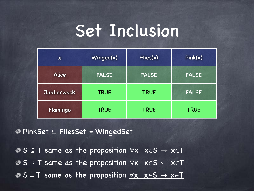### Set Inclusion

| $\boldsymbol{\mathsf{X}}$ | Winged(x)    | Flies(x)     | Pink(x)      |
|---------------------------|--------------|--------------|--------------|
| <b>Alice</b>              | <b>FALSE</b> | <b>FALSE</b> |              |
| <b>Jabberwock</b>         | <b>TRUE</b>  | <b>TRUE</b>  | <b>FALSE</b> |
| Flamingo                  | <b>TRUE</b>  | <b>TRUE</b>  | <b>TRUE</b>  |

PinkSet ⊆ FliesSet = WingedSet

**O** S  $\subseteq$  T same as the proposition  $\forall$ x  $x \in S \rightarrow \overline{x \in T}$ S ⊇ T same as the proposition ∀x x∈S ← x∈T  $\circ$  S = T same as the proposition  $\forall x \; x \in S \leftrightarrow x \in T$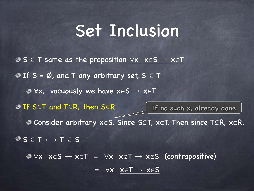#### Set Inclusion

**O** S  $\subseteq$  T same as the proposition  $\forall$ x  $x \in S \rightarrow x \in T$  $\odot$  If S =  $\oslash$ , and T any arbitrary set, S  $\subseteq$  T  $\bullet$   $\forall$ x, vacuously we have  $x \in S \rightarrow x \in T$ If S⊆T and T⊆R, then S⊆R Consider arbitrary x∈S. Since S⊆T, x∈T. Then since T⊆R, x∈R.  $S \subseteq T \longleftrightarrow \overline{T} \subseteq \overline{S}$ ∀x x∈S → x∈T ≡ ∀x x∉T → x∉S (contrapositive)  $= \forall x \times \overline{x} = \overline{1} \rightarrow x \in \overline{S}$ If no such x, already done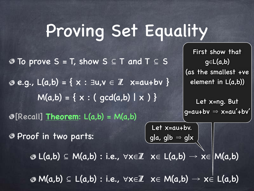## Proving Set Equality

To prove S = T, show S ⊆ T and T ⊆ S  $\emptyset$  e.g., L(a,b) = { x : ∃u,v  $\in \mathbb{Z}$  x=au+bv }  $M(a,b) = \{ x : ( gcd(a,b) | x ) \}$ [Recall] **Theorem**: L(a,b) = M(a,b) Proof in two parts:  $\mathcal{B} \mathsf{L}(a,b) \subseteq \mathsf{M}(a,b) : \mathsf{i.e.,} \forall x \in \mathbb{Z} \ x \in \mathsf{L}(a,b) \to x \in \mathsf{M}(a,b)$  $\mathcal{B} \mathsf{M}(a,b) \subseteq \mathsf{L}(a,b) : \mathsf{i.e., } \forall x \in \mathbb{Z} \quad x \in \mathsf{M}(a,b) \rightarrow x \in \mathsf{L}(a,b)$ Let x=au+bv. gla, glb  $\Rightarrow$  glx

First show that g∈L(a,b) (as the smallest +ve element in L(a,b))

Let x=ng. But  $g=au+bv \Rightarrow x=au'+bv'$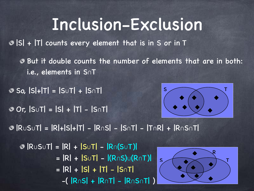#### Inclusion-Exclusion

|S| + |T| counts every element that is in S or in T

But it double counts the number of elements that are in both: ◉ i.e., elements in S∩T

So, |S|+|T| = |S∪T| + |S∩T|

Or, |S∪T| = |S| + |T| - |S∩T|



|R∪S∪T| = |R|+|S|+|T| - |R∩S| - |S∩T| - |T∩R| + |R∩S∩T|

|R∪S∪T| = |R| + |S∪T| - |R∩(S∪T)| = |R| + |S∪T| - |(R∩S)∪(R∩T)| = |R| + |S| + |T| - |S∩T| -( |R∩S| + |R∩T| - |R∩S∩T| )